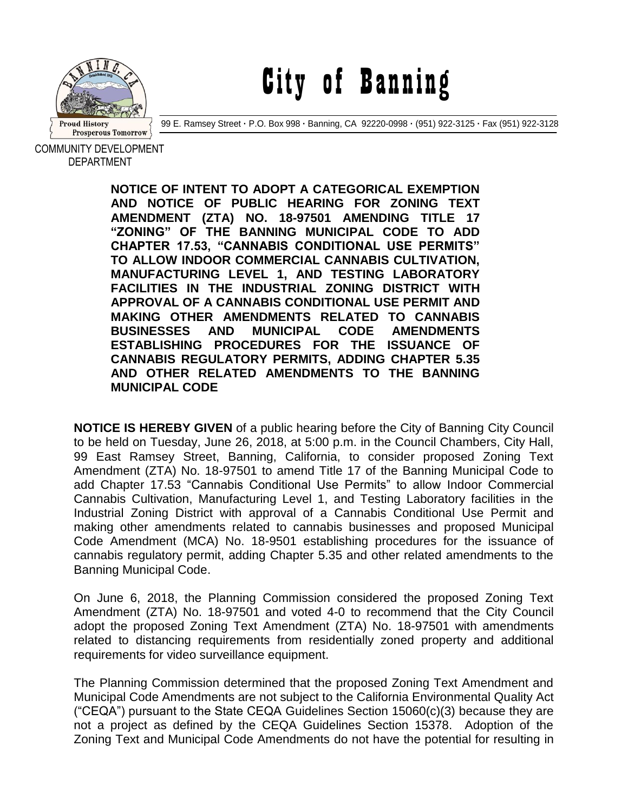

City of Banning

99 E. Ramsey Street **·** P.O. Box 998 **·** Banning, CA 92220-0998 **·** (951) 922-3125 **·** Fax (951) 922-3128

COMMUNITY DEVELOPMENT DEPARTMENT

> **NOTICE OF INTENT TO ADOPT A CATEGORICAL EXEMPTION AND NOTICE OF PUBLIC HEARING FOR ZONING TEXT AMENDMENT (ZTA) NO. 18-97501 AMENDING TITLE 17 "ZONING" OF THE BANNING MUNICIPAL CODE TO ADD CHAPTER 17.53, "CANNABIS CONDITIONAL USE PERMITS" TO ALLOW INDOOR COMMERCIAL CANNABIS CULTIVATION, MANUFACTURING LEVEL 1, AND TESTING LABORATORY FACILITIES IN THE INDUSTRIAL ZONING DISTRICT WITH APPROVAL OF A CANNABIS CONDITIONAL USE PERMIT AND MAKING OTHER AMENDMENTS RELATED TO CANNABIS BUSINESSES AND MUNICIPAL CODE AMENDMENTS ESTABLISHING PROCEDURES FOR THE ISSUANCE OF CANNABIS REGULATORY PERMITS, ADDING CHAPTER 5.35 AND OTHER RELATED AMENDMENTS TO THE BANNING MUNICIPAL CODE**

**NOTICE IS HEREBY GIVEN** of a public hearing before the City of Banning City Council to be held on Tuesday, June 26, 2018, at 5:00 p.m. in the Council Chambers, City Hall, 99 East Ramsey Street, Banning, California, to consider proposed Zoning Text Amendment (ZTA) No. 18-97501 to amend Title 17 of the Banning Municipal Code to add Chapter 17.53 "Cannabis Conditional Use Permits" to allow Indoor Commercial Cannabis Cultivation, Manufacturing Level 1, and Testing Laboratory facilities in the Industrial Zoning District with approval of a Cannabis Conditional Use Permit and making other amendments related to cannabis businesses and proposed Municipal Code Amendment (MCA) No. 18-9501 establishing procedures for the issuance of cannabis regulatory permit, adding Chapter 5.35 and other related amendments to the Banning Municipal Code.

On June 6, 2018, the Planning Commission considered the proposed Zoning Text Amendment (ZTA) No. 18-97501 and voted 4-0 to recommend that the City Council adopt the proposed Zoning Text Amendment (ZTA) No. 18-97501 with amendments related to distancing requirements from residentially zoned property and additional requirements for video surveillance equipment.

The Planning Commission determined that the proposed Zoning Text Amendment and Municipal Code Amendments are not subject to the California Environmental Quality Act ("CEQA") pursuant to the State CEQA Guidelines Section 15060(c)(3) because they are not a project as defined by the CEQA Guidelines Section 15378. Adoption of the Zoning Text and Municipal Code Amendments do not have the potential for resulting in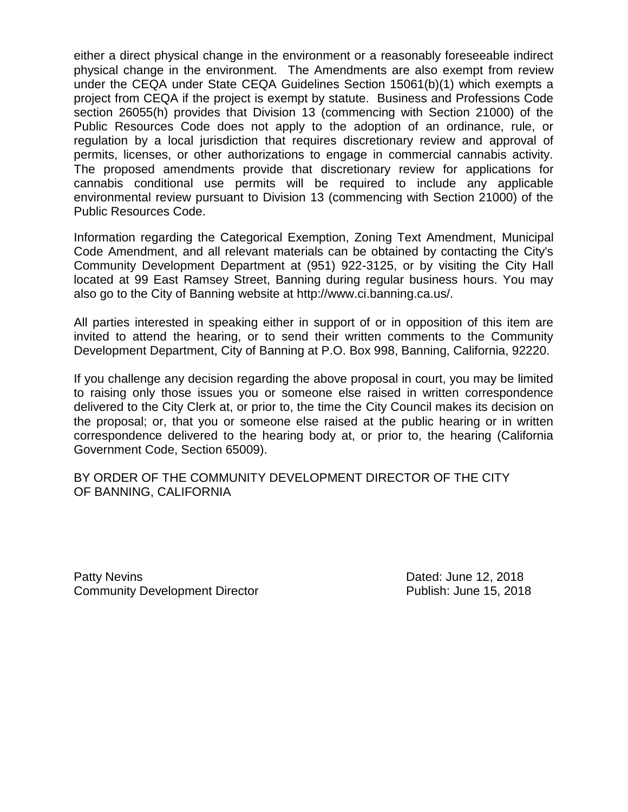either a direct physical change in the environment or a reasonably foreseeable indirect physical change in the environment. The Amendments are also exempt from review under the CEQA under State CEQA Guidelines Section 15061(b)(1) which exempts a project from CEQA if the project is exempt by statute. Business and Professions Code section 26055(h) provides that Division 13 (commencing with Section 21000) of the Public Resources Code does not apply to the adoption of an ordinance, rule, or regulation by a local jurisdiction that requires discretionary review and approval of permits, licenses, or other authorizations to engage in commercial cannabis activity. The proposed amendments provide that discretionary review for applications for cannabis conditional use permits will be required to include any applicable environmental review pursuant to Division 13 (commencing with Section 21000) of the Public Resources Code.

Information regarding the Categorical Exemption, Zoning Text Amendment, Municipal Code Amendment, and all relevant materials can be obtained by contacting the City's Community Development Department at (951) 922-3125, or by visiting the City Hall located at 99 East Ramsey Street, Banning during regular business hours. You may also go to the City of Banning website at http://www.ci.banning.ca.us/.

All parties interested in speaking either in support of or in opposition of this item are invited to attend the hearing, or to send their written comments to the Community Development Department, City of Banning at P.O. Box 998, Banning, California, 92220.

If you challenge any decision regarding the above proposal in court, you may be limited to raising only those issues you or someone else raised in written correspondence delivered to the City Clerk at, or prior to, the time the City Council makes its decision on the proposal; or, that you or someone else raised at the public hearing or in written correspondence delivered to the hearing body at, or prior to, the hearing (California Government Code, Section 65009).

BY ORDER OF THE COMMUNITY DEVELOPMENT DIRECTOR OF THE CITY OF BANNING, CALIFORNIA

Patty Nevins **Patty News** 2018 Community Development Director **Publish: June 15, 2018**